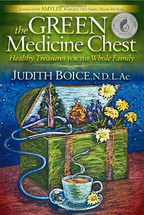foreword by AMYLEE, Founder, Her Narive Roots Herbals

# the GREEN (G) Healthy Treasures FORTHE Whole Family

## **JUDITH BOICE, N.D., L.Ac.**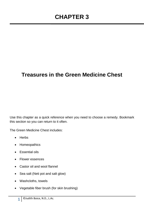### **Treasures in the Green Medicine Chest**

Use this chapter as a quick reference when you need to choose a remedy. Bookmark this section so you can return to it often.

The Green Medicine Chest includes:

- Herbs
- Homeopathics
- Essential oils
- Flower essences
- Castor oil and wool flannel
- Sea salt (Neti pot and salt glow)
- Washcloths, towels
- Vegetable fiber brush (for skin brushing)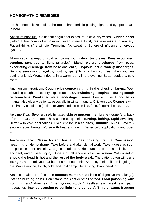#### **HOMEOPATHIC REMEDIES**

For homeopathic remedies, the most characteristic guiding signs and symptoms are in **bold.**

Aconitum napellus: Colds that begin after exposure to cold, dry winds. **Sudden onset** (within a few hours of exposure). Fever, intense thirst, **restlessness and anxiety**. Patient thinks s/he will die. Trembling. No sweating. Sphere of influence is nervous system.

Allium cepa: allergic or cold symptoms with watery, teary eyes. **Eyes excoriated, burning, sensitive to light** (allergies). **Bland, watery discharge from eyes, excoriating discharge from nose** (influenza). **Copious, acrid, watery discharges**. Burning sensation of eyelids, nostrils, lips. (Think of how you feel when you are cutting onions). Worse indoors, in a warm room, in the evening. Better outdoors, cold room.

Antimonium tartaricum: **Cough with course rattling in the chest or larynx.** Wetsounding cough, but scanty expectoration. **Overwhelming sleepiness during cough or bronchitis. Weakened state; end-stage disease.** Feeble pulse. Bronchitis or infants; also elderly patients, especially in winter months. Chicken pox. **Cyanosis** with respiratory conditions (lack of oxygen leads to blue lips, face, fingernail beds, etc.).

Apis mellifica: **Swollen, red, irritated skin or mucous membrane tissue** (e.g. back of the throat). Remember how a bee sting feels: **burning, itching, rapid swelling**. Better with cold applications. Excellent for **insect bites, sunburn, hives**. Severely swollen, sore throats. Worse with heat and touch. Better cold applications and open air.

Arnica montana: **Classic for soft tissue injuries, bruising, trauma**. **Concussion, head injury. Hemorrhage**. Take before and after dental work. Take a dose as soon as possible after an injury, e.g. a sprained ankle, bumped or bruised limb, auto accident, and/or head injury. Sphere of influence is vascular system. With onset of **shock, the head is hot and the rest of the body weak**. The patient often will **deny being hurt** and tell you that he does not need help. She may feel as if she is going to die. Worse motion, touch, cold, and cold damp. Better lying down, head low.

Arsenicum album: Effects the **mucous membranes** (lining of digestive tract, lungs). **Intense burning pains**. Can't stand the sight or smell of food. **Food poisoning with vomiting** *and* **diarrhea**. "Fire hydrant stools." Restlessness, weakness, pain, headaches. **Intense aversion to sunlight (photophobia). Thirsty; wants frequent**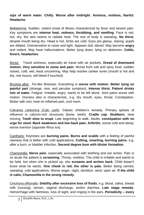#### **sips of warm water. Chilly. Worse after midnight**. **Anxious, restless, fearful. Headache.**

Belladonna: Sudden, violent onset of illness characterized by fever and severe pain. Key symptoms are **intense heat, redness, throbbing, and swelling**. Face is red, hot, dry; the skin seems to radiate heat. The rest of body is sweating. **No thirst**, despite mouth being dry. Head is hot, limbs are cold. Eyes are glassy, staring; pupils are dilated. Oversensitive to noise and light. Appears dull, dazed. May become **angry** and violent. May have hallucinations. Better lying down, lying on abdomen. **Colds, fevers, headaches**.

Borax: Travel sickness, especially air travel with air pockets. **Dread of downward motion. Very sensitive to noise and pain.** Worse from salt and spicy food, sudden noises, cold, wet, least uncovering. May help resolve canker sores (mouth is hot and dry, red mucus, will bleed if touched).

Bryonia alba: Flu-like illnesses. Everything is **worse with motion. Better lying on painful part** (strange, rare, and peculiar symptom). **Intense thirst. Patient drinks lots of water.** Fatigue. Irritable, angry, wants to be left alone. Joint pains worse with motion. Dryness also is characteristic, e.g. dry mouth, eyes, throat. Constipation. Better with rest, heat on inflamed part, cool room.

Calcarea carbonica (Calc carb): Classic children's remedy. Primary sphere of influence is calcium-rich structures (bone, teeth). **Cradle cap**. **Stubborn**, slow moving. **Teeth slow to erupt**. Late beginning to walk. Adults: **constipation with no urge for stool. Back weakness and low back pain. Arthritis**, worse cold and damp; worse exertion (opposite Rhus tox).

Cantharis: Keynotes are **burning pains. Burns and scalds** with a feeling of painful rawness that is better with cold applications**. Cutting, smarting, burning pains**, e.g. after a burn, or bladder infection. **Second degree bum with blister formation.**

Chamomilla: **Nerve pain**, especially associated with teething and ear aches. Pain is so acute the patient is **screaming**. Thirsty, restless. The child is irritable and wants to be held, but when she is picked up, she **screams and arches back**. Child doesn't know what he wants. **One cheek is red, the other is pale.** Better being carried, sweating, cold applications. Worse anger, night, dentition, wind, open air. **If the child is calm, Chamomilla is the wrong remedy**.

Cinchona officinalis: **Debility after excessive loss of fluids**, e.g. blood, saliva, breast milk (nursing), semen, vaginal discharge, and/or diarrhea. **Late stage remedy**. Hemorrhage with faintness, loss of sight, and ringing in the ears. **Periodicity – every**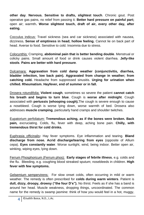**other day**. **Nervous. Sensitive to drafts, slightest touch**. Chronic gout. Post operative gas pains, no relief from passing it. **Better hard pressure on painful part;**  open air; warmth**. Worse slightest touch, draft of air, every other day, after eating.**

Cocculus indicus: Travel sickness (sea and car sickness) associated with nausea, dizziness**. Sense of emptiness in head; hollow feeling.** Cannot lie on back part of head. Averse to food. Sensitive to cold. Insomnia due to stress.

Colocynthis: Cramping, **abdominal pain that is better bending double**. Menstrual or colicky pains. Small amount of food or drink causes violent diarrhea. **Jelly-like stools**. **Pains are better with hard pressure**.

Dulcamara: **Aggravation from cold damp weather (conjunctivitis, diarrhea, bladder infection, low back pain). Aggravated from change in weather; from catching cold.** Headache from suppressed sinusitis. **Urging for urination when chilled. Rheumatism. Hayfever, end of summer or in fall.**

Drosera rotundifolia: **Violent cough**, sometimes so severe the patient **cannot catch his breath and begins to turn blue**. Cough is **worse after midnight**. Cough associated with **pertussis (whooping cough).**The cough is severe enough to cause a nosebleed. Cough is worse lying down, worse warmth of bed. Drosera also addresses **muscle cramping**, particularly hand cramps and shoulder twitches.

Eupatorium perfoliatum: **Tremendous aching, as if the bones were broken. Back pain***,* excruciating. Colds, flu, fever with deep, aching bone pain. **Chilly, with tremendous thirst for cold drinks.**

Euphrasia officinalis**:** Hay fever symptoms. Eye inflammation and tearing. **Bland discharge from nose. Acrid discharge/tearing from eyes** (opposite of Allium cepa). **Eyes constantly water**. Worse sunlight, wind, being indoor. Better open air, winking, wiping eyes, lying down.

Ferrum Phosphoricum (Ferrum phos): **Early stages of febrile illness**, e.g. colds and the flu. Bleeding, e.g. coughing blood streaked sputum; nosebleeds in children. **High fever with few symptoms.**

Gelsemium sempervirens: For slow onset colds, often occurring in mild or warm weather. The remedy is often prescribed for **colds during warm winters**. Patient is **dull, dizzy, droopy, drowsy ("the four D's").** No thirst. Feels as if she has a band is around her head. Muscle weakness, dropping things, uncoordinated. The common name for the remedy is swamp jasmine: think of how you would feel in a hot, muggy,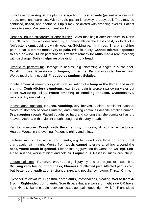humid swamp in August. Helpful for **stage fright**, **test anxiety** (patient is worse with dread, emotions, surprise). With **shock**, patient is drowsy, droopy, dull. They may be confused, dazed, and apathetic. Pupils may be dilated with drooping eyelids. Patient wants to sleep. May see with heat stroke.

Hepar sulphuris calcareum (Hepar sulph): Colds that begin after exposure to North and NE wind (this was described by a homeopath on the East coast, so think of a Nor'easter storm): cold, dry windy weather. **Sticking pain in throat. Sharp, stitching pain in ear**. **Extreme sensitivity to pain.** Irritable, nasty. **Cannot tolerate exposure to cold or wind**. Much perspiration. Excellent remedy for **otitis media** (ear infection) with discharge. **Boils - helps resolve or bring to a head**.

Hypericum perforatum: Damage to nerves, e.g. slamming a finger in a car door. **Crush injuries, lacerations of fingers, fingertips. Painful wounds. Nerve pain.**  Worse touch, jarring, cold. **First degree sunburn. Sciatica.**

Ignatia amara: A remedy for **grief**, with sensation of a **lump in the throat** and much **sighing**. **Contradictory symptoms**, e.g. throat pain is worse swallowing water but better swallowing solids. **Worse smoking or smelling tobacco. Oversensitive, nervous. Hysterical crying.**

Ipecacuanha (Ipecac): **Nausea, vomiting, dry heaves**. Violent, persistent nausea. Nerve to stomach becomes irritated, and vomiting continues despite empty stomach. **Dry, nagging cough**. Patient coughs so hard and so long that she vomits or has dry heaves. Asthma with a violent cough; coughs with every breath.

Kali bichromicum: **Cough with thick, stringy mucous**, difficult to expectorate. Hoarse. Worse in the evening. Patient is **chilly** and thirsty.

Lachesis mutus: **Left-sided complaints**, e.g. left sided sore throat, or sore throat that travels left → right. Worse from touch, **cannot tolerate anything around the neck, worse touch in general**. Sleeps into aggravation (is worse on waking). **Leftsided sciatica**, worse at night and cold air. **Loquacious**. Restless, suspicious, chilly.

Ledum palustre: **Puncture wounds**, e.g. injury by a sharp object or insect bite. **Bruising with feeling of coldness; blueness** of affected part. Affected part is cold, **but better cold applications** (strange, rare, and peculiar symptom). Thirsty. **Chilly.**

Lycopodium clavatum: **Digestive complaints**, intestinal gas, bloating. **Worse from 4- 8 p.m. Right-sided complaints**. Sore throats that are worse on right side OR travel right  $\rightarrow$  left. Burning pain between scapulae; pain goes right  $\rightarrow$  left. Right sided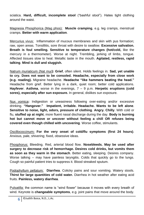sciatica. **Hard, difficult, incomplete stool** ("bashful stool"). Hates tight clothing around the waist.

Magnesia Phosphorica (Mag phos): **Muscle cramping**, e.g. leg cramps, menstrual cramps. **Better with warm application**.

Mercurius vivus: Inflammation of mucous membranes and skin with pus formation; raw, open areas. Tonsillitis, sore throat with desire to swallow. **Excessive salivation. Breath is foul smelling. Sensitive to temperature changes (hot/cold,** like the mercury in a thermometer). Worse at night. Trembling, jerking of limbs, tongue. Affected tissues slow to heal. Metallic taste in the mouth. **Agitated, restless, rapid talking**. **Mind is dull and sluggish.**

Natrum muriaticum (Nat mur**): Grief**, often silent. Holds feelings in. **Sad, yet unable to cry. Does not want to be consoled. Headache, especially from close work (e.g. reading).** Migraine headache. **Headache "like hammers beating the head."** Headache from grief. Better lying in a dark, quiet room; better cold applications. **Hayfever**. **Asthma**, worse in the evenings, 7 – 9 p.m. **Herpetic eruptions (cold sores), especially after sun exposure.** In general, dislikes sun exposure.

Nux vomica**:** Indigestion or uneasiness following over-eating and/or excessive drinking. **"Hangover." Impatient, irritable. Headache. Wants to be left alone**. **Sensitive to noise, light, odors, pressure of clothing**. **Angry. Chilly**. With cold or flu, **stuffed up at night**, more fluent nasal discharge during the day. **Body is burning hot but cannot move or uncover without feeling a chill OR refuses being covered even though chilled with uncovering**. Worse coffee, stimulants.

Oscillococcinum**: For the very onset of cold/flu symptoms (first 24 hours)**. Anxious, pale, shivering; fixed, obsessive ideas.

Phosphorus: Bleeding. Red, arterial blood flow. **Nosebleeds. May be used after surgery to decrease risk of hemorrhage. Desires cold drinks, but vomits them as soon as they warm in the stomach**. Better eating, sleeping. Desires company. Worse talking -- may have painless laryngitis. Colds that quickly go to the lungs. Cough so painful patient tries to suppress it. Blood streaked sputum.

Podophyllum peltatum: **Diarrhea**. Colicky pains and sour vomiting. Watery stools. **Thirst for large quantities of cold water.** Diarrhea in hot weather after eating acid fruits. **Painless, watery diarrhea**.

Pulsatilla: the common name is "wind flower" because it moves with every breath of wind. Keynote is **changeable symptoms**, e.g. joint pains that move around the body.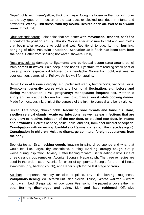"Ripe" colds with green/yellow, thick discharge. Cough is looser in the morning, drier as the day goes on. Infection of the tear duct, or blocked tear duct, in infants and newborns. **Weepy. Thirstless, with dry mouth. Desires open air. Worse in a warm room.** Timid, mild.

Rhus toxicodendron: Joint pains that are better **with movement. Restless**, can't find a comfortable position**. Chilly. Thirsty**. Worse after exposure to cold and wet. Colds that begin after exposure to cold and wet. Red tip of tongue. **Itching, burning, stinging of skin. Vesicular eruptions. Sensation as if flesh has been torn from the bone.** Better from scalding hot water, showers. Chilly.

Ruta graveolens: damage **to ligaments and periosteal tissue** (area around bone) **Pain comes in waves**. Pain deep in the bones. Eyestrain from reading small print or close-up work, especially if followed by a headache. Worse from cold, wet weather over-exertion; damp, wind. Follows Arnica well for sprains.

Sepia: **Loss of tissue integrity**, e.g. prolapsed uterus, hemorrhoids, varicose veins. **Symptoms generally worse with any hormonal fluctuation, e.g. before and during menstruation; PMS; pregnancy; menopause; frequent sex**. **Mother is angry** and yells at the children from least disturbance; **worst while cooking dinner**. Made from octopus ink; think of the purpose of the ink – to conceal and be left alone.

Silicea: Late stage, chronic colds. **Recurring sore throats and tonsillitis. Hard, swollen cervical glands. Acute ear infections, as well as ear infections that are very slow to resolve. Infection of the tear duct, or blocked tear duct, in infants and newborns**. Defects of bone, spine, nails, and hair, from poor mineral absorption. **Constipation with no urging; bashful** stool (almost comes out, then recedes again). **Constipation in children**. Helps to **discharge splinters, foreign substances from the body.**

Spongia tosta: **Dry, hacking cough**. Imagine inhaling dried sponge and what that would feel like. Larynx dry, constricted, burning. **Barking, croupy cough**. Croup worse during inspiration. Anxiety. Better leaning forward. Better eating a little. One of three classic croup remedies: Aconite, Spongia, Hepar sulph. The three remedies are used in the order listed: Aconite for onset of symptoms, Spongia for the mid-illness symptoms (dry, hacking cough), and Hepar sulph for the last stage of croup.

Sulphur: Important remedy for skin eruptions. Dry skin, **itching;** roughness. **Voluptuous itching**. Will scratch until skin bleeds. Thirsty. **Worse warmth** -- warm room, warm bed. Sleeps with window open. Feet so hot the patient uncovers them in bed. **Burning discharges and pains. Skin and face reddened**. Offensive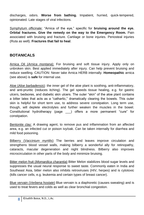discharges, odors. **Worse from bathing.** Impatient, hurried, quick-tempered, opinionated. Late stages of viral infections.

Symphytum officinale: "Arnica of the eye," specific for **bruising around the eye. Orbital fractures. Give the remedy on the way to the Emergency Room.** Pain associated with bruising and fracture. Cartilage or bone injuries. Periosteal injuries (Ruta as well). **Fractures that fail to heal**.

#### **BOTANICALS**

Arnica Oil (*Arnica montana*): For bruising and soft tissue injury. Apply only on unbroken skin. Best applied immediately after injury. Can help prevent bruising and reduce swelling. CAUTION: Never take Arnica HERB internally. **Homeopathic** arnica (see above) is **safe** for internal use.

Aloe (*Aloe barbadensis*): the inner gel of the aloe plant is soothing, anti-inflammatory, and anti-pruritic (reduces itching). The gel speeds tissue healing, e.g. for gastric ulcers, bedsores, and diabetic skin ulcers. The outer "skin" of the aloe plant contains a bitter latex that acts as a "cathartic," dramatically clearing the bowels. This outer skin is helpful for short term use, to address severe constipation. Long term use, though, will deplete electrolytes and further weaken the muscles in the bowel. Constitutional hydrotherapy (page \_\_\_) offers a more permanent "cure" for constipation.

Bentonite clay: A drawing agent, to remove pus and inflammation from an affected area, e.g. an infected cut or poison ivy/oak. Can be taken internally for diarrhea and mild food poisoning.

Bilberry (*Vaccinium myrtilis*) The berries and leaves improve circulation and strengthens blood vessel walls, making bilberry a wonderful ally for retinopathy, cataracts, macular degeneration and night blindness. Bilberry also improves microcirculation in other parts of the body and minimize bruising.

Bitter melon fruit (*Momardica charantia*) Bitter Melon stabilizes blood sugar levels and suppresses the usual neural response to sweet taste. Commonly eaten in India and Southeast Asia, bitter melon also inhibits retroviruses (HIV, herpes) and is cytotoxic (kills cancer cells, e.g. leukemia and certain types of breast cancer).

Blue vervain (*Verbena hostate*) Blue vervain is a diaphoretic (causes sweating) and is used to treat fevers and colds as well as clear bronchial congestion.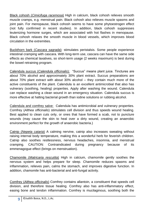Black cohosh (*Cimicifuga racemosa*) High in calcium, black cohosh relieves smooth muscle cramps, e.g. menstrual pain. Black cohosh also relieves muscle spasms and joint pain. For menopause, black cohosh seems to have some phytoestrogen effect (not fully confirmed in recent studies). In addition, black cohosh suppresses leutenizing hormone surges, which are associated with hot flashes in menopause. Black cohosh relaxes the smooth muscle in blood vessels, which improves blood circulation in the extremities.

Buckthorn bark (*Cascara sagrada*): stimulates peristalsis. Some people experience intestinal cramping with cascara. With long-term use, cascara can have the same side effects as chemical laxatives, so short-term usage (2 weeks maximum) is best during the bowel retraining program.

Calendula succus (*Calendula officinalis*): "Succus" means plant juice. Tinctures are about 70% alcohol and approximately 30% plant extract. Succus preparations are about 70% plant extract with about 30% alcohol – they contain much more of the active constituents of the plant. Calendula is an excellent antimicrobial that also has vulnerary (soothing, healing) properties. Apply after washing the wound. Calendula can replace washing a clean wound in an emergency situation. Calendula succus is more effective at halting bacterial growth than iodine solutions or rubbing alcohol.

Calendula and comfrey salve: Calendula has antimicrobial and vulnerary properties. Comfrey (*Althea officinalis*) stimulates cell division and thus speeds wound healing. Best applied to clean cuts only, or ones that have formed a scab, not to puncture wounds (may cause the skin to heal over a dirty wound, creating an anaerobic environment perfect for the growth of anaerobic bacteria.)

Catnip (*Nepeta cataria*) A calming nervine, catnip also increases sweating without raising internal body temperature, making this a wonderful herb for feverish children. Catnip also soothes restlessness, nervous headaches, insomnia, and menstrual cramping. CAUTION: Contraindicated during pregnancy because of its emmenagogue effect (brings on menstruation).

Chamomile (*Matricaria rescutita*) High in calcium, chamomile gently soothes the nervous system and helps prepare for sleep. Chamomile reduces spasms and inflammation, relieves pain, calms the stomach, and improves digestive function. In addition, chamomile has anti-bacterial and anti-fungal activity.

Comfrey (*Althea officinalis*) Comfrey contains allantoin, a constituent that speeds cell division, and therefore tissue healing. Comfrey also has anti-inflammatory effect, easing bone and tendon inflammation. Comfrey is mucilaginous, soothing both the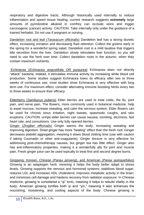respiratory and digestive tracts. Although historically used internally to reduce inflammation and speed tissue healing, current research suggests **extremely** large amounts of pyrrolizidine alkaloid in comfrey can occlude veins and trigger carcinogenic (cancer) activity. CAUTION: Take internally only under the guidance of a trained herbalist. Do not use if pregnant or nursing.

Dandelion root and leaf (*Taraxacum officinalis*) Dandelion leaf has a strong diuretic effect, increasing urination and decreasing fluid retention. Collect the greens early in the spring for a wonderful spring salad. Dandelion root is a mild laxative that triggers bile secretion from the liver. Dandelion *slowly* stimulates liver function, so you will need to use the herb over time. Collect dandelion roots in the autumn, when they contain maximum nutrients.

Echinacea (*Echinacea angustifolia OR purpurea*) Echinacea does *not* directly "attack" bacteria; instead, it stimulates immune activity by increasing white blood cell production. Some studies suggest Echinacea loses its efficacy after two to three weeks of continuous use; most studies show Echinacea is very effective with long term use. For maximum effect, consider alternating immune boosting herbs every two to three weeks to ensure their efficacy.

Elderberry (*Sambucus pubens*) Elder *berries* are used to treat colds, the flu, joint pain, and nerve pain. The *flowers*, more commonly used in botanical medicine, help to expel mucous, increase sweating, and calm the nervous system. Elder *flowers* can be used for chronic sinus irritation, night sweats, spasmodic coughs, and skin eruptions. CAUTION: unripe elder *berries* can cause nausea, vomiting, dizziness, fast heart rate, and convulsions. Use only fully ripened berries.

Ginger (*Zingiber officinalis*) Ginger warms the body, increasing sweating and improving digestion. Dried ginger has more "heating" effect than the fresh root. Ginger decreases platelet aggregation, meaning it slows blood clotting time (use with caution if taking Coumadin or other anti-coagulants). Ginger *tincture* is very effective for addressing post-chemotherapy nausea, but ginger *tea* has little effect. Ginger also has anti-inflammatory properties, making it a wonderfully ally for joint and muscle pain. Fresh ginger juice can be used topically to treat first and second degree burns.

Gingseng: Korean, Chinese (*Panax ginseng*), and American (*Panax quinquefolius*) Ginseng is an adaptogen herb, meaning it helps the body better adapt to stress levels. Ginseng supports the nervous and hormonal systems; stabilizes blood sugar; reduces LDL and increases HDL cholesterol; improves metabolic activity in the brain; and minimizes cell damage and hastens recovery from radiation exposure. In Chinese medicine, ginseng is considered a "qi" tonic, meaning it helps to rebuild vitality in the body. American ginseng tonifies both qi and "yin," meaning it also enhances the nourishing, moistening, and cooling aspects of the body. Chinese ginseng is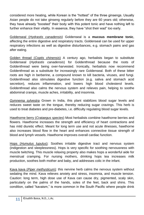considered more heating, while Korean is the "hottest" of the three ginsengs. Usually Asian people do not take ginseng regularly before they are 60 years old; otherwise, they have already "boosted" their body with this potent tonic and have nothing left to further enhance their vitality. In essence, they have "shot their wad" too early.

Goldenseal (*Hydrastis canadensis*) Goldenseal is a **mucous membrane tonic**, affecting the entire digestive and respiratory tracts. Goldenseal can be used for upper respiratory infections as well as digestive disturbances, e.g. stomach pains and gas after eating.

Golden thread (*Coptis chinensis*) A century ago, herbalists began to substitute Goldenseal (*Hydrastis canadensis*) for Goldenthread because the roots of Goldenthread were being over-harvested. Ironically, herbalists now recommend Goldenthread as a substitute for increasingly rare Goldenseal. Both of these bitter roots are high in berberine, a compound known to kill bacteria, viruses, and fungi. Goldenthread also stimulates digestive function (e.g. saliva and stomach acid secretion), reduces inflammation, and lowers high blood cholesterol levels. Goldenthread also calms the nervous system and relieves pain, helping to soothe abdominal cramps, muscle aches, irritability, and insomnia.

*Gymnema sylvestra* Grown in India, this plant stabilizes blood sugar levels and reduces sweet taste on the tongue, thereby reducing sugar cravings. This herb is used to treat diabetes and pre-diabetes, i.e. difficulty regulating blood sugar levels.

Hawthorne berry (*Crataegus species*) Most herbalists combine hawthorne berries and flowers. Hawthorne increases the strength and efficiency of heart contractions and has mild diuretic effect. Meant for long term use and not acute illnesses, hawthorne also increases blood flow in the heart and enhances connective tissue strength of blood and lymph vessels. Hawthorne improves overall cardiac function.

Hops (*Humulus lupulus*): Soothes irritable digestive tract and nervous system (indigestion and sleeplessness). Hops is very specific for soothing nervousness with muscle twitching. This muscle relaxing property also makes hops a wonderful aide for menstrual cramping. For nursing mothers, drinking hops tea increases milk production, soothes both mother and baby, and addresses colic in the infant.

Kava kava (*Piper methysticum*): this nervine herb calms the nervous system without sedating the mind. Kava relieves anxiety and stress, insomnia, and muscle tension. Caution: long term, high dose use of Kava can cause dry, pigmented, scaly skin, particularly on the palms of the hands, soles of the feet, back and shins. This condition, called "kavaism," is more common in the South Pacific where people drink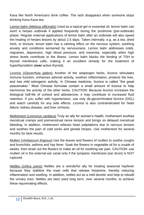Kava like North Americans drink coffee. The rash disappears when someone stops drinking Kava Kava tea.

Lemon balm (*Melissa officinalis*) Used as a topical gel or essential oil, lemon balm can avert a herpes outbreak if applied frequently during the prodrome (pre-outbreak) phase. Regular external applications of lemon balm after an outbreak will also speed the healing of herpes lesions by about 2.5 days. Taken internally, e.g. as a tea, dried herb, or tincture, lemon balm has a calming effect on the nervous system, soothing anxiety and conditions worsened by nervousness. Lemon balm addresses colds, migraines, depression, high blood pressure, and insomnia, especially when high stress levels contribute to the illness. Lemon balm blocks the binding of TSH to thyroid membrane cells, making it an excellent remedy for the treatment of hyperthyroidism (**over**-active thyroid).

Licorice (*Glycerrhiza glabra*) Another of the adaptogen herbs, licorice stimulates immune function, enhances adrenal activity, soothes inflammation, protects the liver, and has mild estrogenic activity. In Chinese medicine, licorice is called "the great peacemaker." Most Chinese formulae contain a small amount of licorice to help harmonize the activity of the other herbs. CAUTION: Because licorice increases the biological half-life of cortisol and aldosterone, it may contribute to increased fluid retention. If you suffer with hypertension, use only *de-glycerrhinated licorice* (DGL) and watch carefully for any side effects. Licorice is also contraindicated for heart failure, kidney disease, and liver cirrhosis.

Motherwort (*Leonorus cardiaca*) Truly an ally for women's health, motherwort soothes menstrual cramps and premenstrual nerve tension and brings on delayed menstrual bleeding. In addition, motherwort relieves heart palpitations due to nervous tension and soothes the pain of cold sores and genital herpes. Use motherwort for several months for best results.

Mullein (*Verbascum thapsus*) Use the leaves and flowers of mullein to soothe coughs and bronchitis, asthma and hay fever. Soak the flowers in vegetable oil for a couple of weeks, then strain out the flowers to make an oil for soothing ear pain. CAUTION: use mullein oil in the external ear canal only if the tympanic membrane (ear drum) is NOT ruptured.

Nettles (*Urtica urens*) Nettles are a wonderful ally for treating seasonal hayfever because they stabilize the mast cells that release histamine, thereby reducing inflammation and swelling. In addition, nettles act as a mild diuretic and help to rebuild the urinary tract. Nettles are best used long term, over several months, to achieve these rejuvenating effects.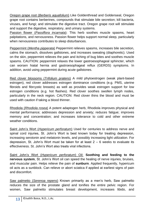Oregon grape root (*Berberis aquafolium*) Like Goldenthread and Goldenseal, Oregon grape root contains berberines, compounds that stimulate bile secretion; kill bacteria, viruses, and fungi; and stimulate the digestive tract. Oregon grape root will stimulate and support the digestive, respiratory, and urinary systems.

Passion flower (*Passiflora incarnata*): This herb soothes muscle spasms, heart palpitations, and nervousness. Passion flower helps support normal sleep, particularly when nervousness contributes to sleep disturbances.

Peppermint (*Mentha pipperata*) Peppermint relieves spasms, increases bile secretion, calms the stomach, dissolves gallstones, and increases sweating (diaphoretic). Used on the skin, peppermint relieves the pain and itching of bug bites and soothes muscle spasms. CAUTION: peppermint relaxes the lower gastroesophageal sphincter, which can worsen hiatal hernia and gastroesophageal reflux (GERDS) symptoms. In addition, avoid using peppermint during acute gallstones.

Red clover blossoms (*Trifolium pratens*) A mild phytoestrogen (weak plant-based estrogen), red clover addresses estrogen dominance conditions (e.g. PMS, uterine fibroids and fibrcystic breasts) as well as provides weak estrogen support for low estrogen conditions (e.g. hot flashes). Red clover soothes swollen lymph nodes, particularly in the neck region. CAUTION: Red clover thins the blood and must be used with caution if taking a blood thinner.

Rhodiola (*Rhodiola rosea*) A potent adaptogen herb, Rhodiola improves physical and mental performance; addresses depression and anxiety; reduces fatigue; improves memory and concentration; and increases tolerance to cold and other extreme weather conditions.

Saint John's Wort (*Hypericum perforatum*) Used for centuries to address nerve and spinal cord injuries, St. John's Wort is best known today for treating depression, increasing serotonin and melatonin levels, and possibly increasing light utilization. For depression, St. John's Wort must be taken for at least  $2 - 6$  weeks to evaluate its effectiveness. St. John's Wort also treats viral infections.

Saint John's Wort (*Hypericum perforatum*) Oil: **Soothing and feeding to the nervous system**, St. John's Wort oil can speed the healing of nerve injuries, bruises, and muscular pain. Helps relieve the pain of **sunburn**. Applied frequently, hypericum oil acts as a sunblock. Can relieve or abort sciatica if applied at earliest signs of pain and discomfort.

Saw palmetto (*Serenoa repens*) Known primarily as a men's herb, Saw palmetto reduces the size of the prostate gland and tonifies the entire pelvic region. For women, Saw palmetto stimulates breast development, increases libido, and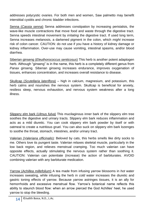addresses polycystic ovaries. For both men and women, Saw palmetto may benefit interstitial cystitis and chronic bladder infections.

Senna (*Cassia senna*) Senna addresses constipation by increasing peristalsis, the wave-like muscle contractions that move food and waste through the digestive tract. Senna speeds intestinal movement by *irritating* the digestive tract. If used long term, Senna increases melanosis, a darkened pigment in the colon, which *might* increase risk of colon cancer. CAUTION: do not use if you have a history of kidney damage or kidney inflammation. Over-use may cause vomiting, intestinal spasms, and/or blood diarrhea.

Siberian ginseng (*Eleuthorococcus senticosus*) This herb is another potent adaptogen herb. Although "ginseng" is in the name, this herb is a completely different genus from *Panax* ginseng. Siberian ginseng increases endurance, improves oxygenation of tissues, enhances concentration, and increases overall resistance to disease.

Skullcap (*Scutellaria lateriflora*) – high in calcium, magnesium, and potassium, this herb calms and nourishes the nervous system. Skullcap is beneficial for anxiety, restless sleep, nervous exhaustion, and nervous system weakness after a long illness.

Slippery elm bark (*Ulmus fulva*) This mucilaginous inner bark of the slippery elm tree soothes the digestive and urinary tracts. Slippery elm bark reduces inflammation and acts as a mild diuretic. You can cook slippery elm bark powder by itself or with oatmeal to create a nutritious gruel. You can also suck on slippery elm bark lozenges to soothe the throat, stomach, intestines, and/or urinary tract.

Valerian (*Valeriana officinalis*): Beloved by cats, this herbs smells like dirty socks to me. Others love its pungent taste. Valerian relaxes skeletal muscle, particularly in the low back region, and relieves menstrual cramping. Too much valerian can have opposite effects, actually stimulating the nervous system rather than soothing it. CAUTION: Valerian can potentiate (increase) the action of barbiturates. AVOID combining valerian with any barbiturate medication.

Yarrow (*Achillea millefolium*) A tea made from infusing yarrow blossoms in *hot* water increases sweating, while infusing the herb in *cold* water increases the diuretic and gastric toning effects of yarrow. Because yarrow astringes tissues, it is an ally for hemorrhoids and excessive menstrual flow. Yarrow's botanical name reflects this ability to staunch blood flow: when an arrow pierced the God Achilles' heel, he used yarrow to stop the bleeding.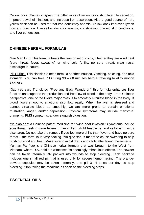Yellow dock (*Rumex crispus*) The bitter roots of yellow dock stimulate bile secretion, improve bowel elimination, and increase iron absorption. Also a good source of iron, yellow dock can be used to treat iron deficiency anemia. Yellow dock improves lymph flow and function. Use yellow dock for anemia, constipation, chronic skin conditions, and liver congestion.

#### **CHINESE HERBAL FORMULAE**

Gan Mao Ling: This formula treats the very onset of colds, whether they are wind heat (sore throat, fever, sweating) or wind cold (chills, no sore throat, clear nasal discharge) in nature.

Pill Curing: This classic Chinese formula soothes nausea, vomiting, belching, and acid stomach. You can take Pill Curing 30 – 60 minutes before traveling to allay motion sickness.

Xiao yao san: Translated "Free and Easy Wanderer," this formula enhances liver function and supports the production and free flow of blood in the body. From Chinese perspective, one of the liver's major roles is to smoothly circulate blood in the body. If blood flows smoothly, emotions also flow easily. When the liver is stressed and cannot circulate blood as smoothly, we are more prone to certain emotions: frustration, anger, and/or depression. Physical symptoms may include menstrual cramping, PMS symptoms, and/or sluggish digestion.

Yin qiao san: a Chinese patent medicine for "wind heat invasion." Symptoms include sore throat, feeling more feverish than chilled, slight headache, and yellowish mucus discharge. Do not take the remedy if you feel more chills than fever and have no sore throat – the formula is *very* cooling. Yin qiao san is meant to cause sweating to help push out wind and heat. Make sure to avoid drafts and chills after taking the remedy.

Yunnan Pai Yao is a Chinese herbal formula that was brought to the West from Vietnam, where U.S. soldiers witnessed its seemingly miraculous effects. The powder can be taken internally OR packed into wounds to stop bleeding. Each package includes one small red pill that is used only for severe hemorrhaging. The orangepowder capsules may be taken internally, one pill 3—4 times per day, to stop bleeding. Stop taking the medicine as soon as the bleeding stops.

#### **ESSENTIAL OILS**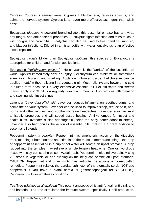Cypress (*Cupressus sempervirens*) Cypress fights bacteria, reduces spasms, and calms the nervous system. Cypress is an even more effective astringent than witch hazel.

*Eucalyptus globulus* A powerful bronchodilator, this essential oil also has anti-viral, anti-fungal, and anti-bacterial properties. Eucalyptus fights infection and thins mucous with coughs and bronchitis. Eucalyptus can also be used to treat candida, sunburn, and bladder infections. Diluted in a mister bottle with water, eucalyptus is an effective insect repellant.

*Eucalyptus radiata* Milder than *Eucalyptus globulus*, this species of Eucalyptus is appropriate for children and for skin applications.

Everlasting (*Helichrysum italicum*) Helichrysum is the "arnica" of the essential oil world. Applied immediately after an injury, Helichrysum can minimize or sometimes even avoid bruising and swelling. Apply on unbroken tissue. Helichrysum can be applied "neat," without diluting in a vegetable oil. Most helichrysum, however, is sold in diluted form because it a very expensive essential oil. For old scars and stretch marks, apply a 20% dilution regularly over  $2 - 3$  months. Also reduces inflammation and swelling with insect stings.

Lavender (*Lavendula officinalis*) Lavender reduces inflammation, soothes burns, and calms the nervous system. Lavender can be used to improve sleep, reduce pain, heal burns and other injuries, and soothe migraine headaches. Lavender also has mild antiseptic properties and will speed tissue healing. Anti-venomous for insect and snake bites, lavender is also adaptogenic (helps the body better adapt to stress). Lavender also harmonizes the action of essential oils, making it a great addition to essential oil blends.

Peppermint (*Mentha piperita*): Peppermint has amphoteric action on the digestive tract, meaning it both soothes and stimulates the mucous membrane lining. One drop of peppermint essential oil in a cup of hot water will soothe an upset stomach. A drop rubbed into the temples may relieve a simple tension headache. One or two drops mixed with clay can soothe poison ivy/oak rash. Peppermint helps relieve pain. Mixing 2-3 drops in vegetable oil and rubbing on the belly can soothe an upset stomach. CAUTION: Peppermint and other mints may antidote the actions of homeopathic remedies. Peppermint relaxes the cardiac sphincter of the stomach, so do NOT use peppermint if you have a hiatal hernia or gastroesophageal reflux (GERDS). Peppermint will worsen these conditions.

Tea Tree (*Malaleuca alternifolia*) This potent antiseptic oil is anti-fungal, anti-viral, and anti-bacterial. Tea tree stimulates the immune system, specifically T cell production.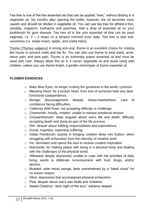Tea tree is one of the few essential oils that can be applied "neat," without diluting in a vegetable oil. Six months after opening the bottle, however, the oil becomes more caustic and should be diluted in vegetable oil. You can use tea tree for athlete's foot, candida, ringworm, toothache and pyorrhea. Add a drop of essential oil on your toothbrush for gum disease. Tea tree oil is the only essential oil that can be used vaginally, i.e. 2 – 3 drops on a tampon inserted once daily. Tea tree is also antivenomous (i.e. treats insect, spider, and snake bites).

Thyme (*Thymus vulgarus*) A strong anti-viral, thyme is an excellent choice for misting the house to prevent colds and the flu. You can also use thyme to treat warts, acne, nerve pain, and joint pain. Thyme is an extremely potent essential oil and must be used with care. Always dilute this oil in a carrier vegetable oil and avoid using with children, unless you use thyme linalol, a gentler chemotype of thyme essential oil.

#### **FLOWER ESSENCES**

- o Baby Blue Eyes: no longer trusting the goodness in the world; cynicism.
- o Bleeding Heart: for a broken heart, from loss of someone held very dear. Emotional codependence.
- o Borage: discouragement, despair, heavy-heartedness. Lack of confidence facing difficulties.
- o California Wild Rose: not accepting difficulty or challenge
- o Chamomile: moody, irritable; unable to release emotional tension.
- $\circ$  Chrysanthemum: deep anguish about one's life and death; difficulty accepting death and dying as part of the life process.
- o Elm: despair about fulfilling responsibilities and expectations.
- o Gorse: hopeless, expecting suffering.
- o Indian Paintbrush: assists in bringing creative ideas into fruition; when struggling with exhaustion from the intensity of creative work.
- $\circ$  Iris: stimulates and opens the soul to receive creative inspiration
- o Manzanita: for making peace with being in a physical body and dealing with the challenges of the physical world.
- o Milkweed: deeply depressed, unable to cope with the activities of daily living, wants to obliterate consciousness with food, drugs, and/or alcohol.
- o Mustard: wide mood swings; feels overwhelmed by a "black cloud" for no known reason.
- o Olive: depression that accompanies physical exhaustion.
- o Pine: despair about one's own faults and mistakes.
- o Sweet Chestnut: "dark night of the soul," extreme despair.